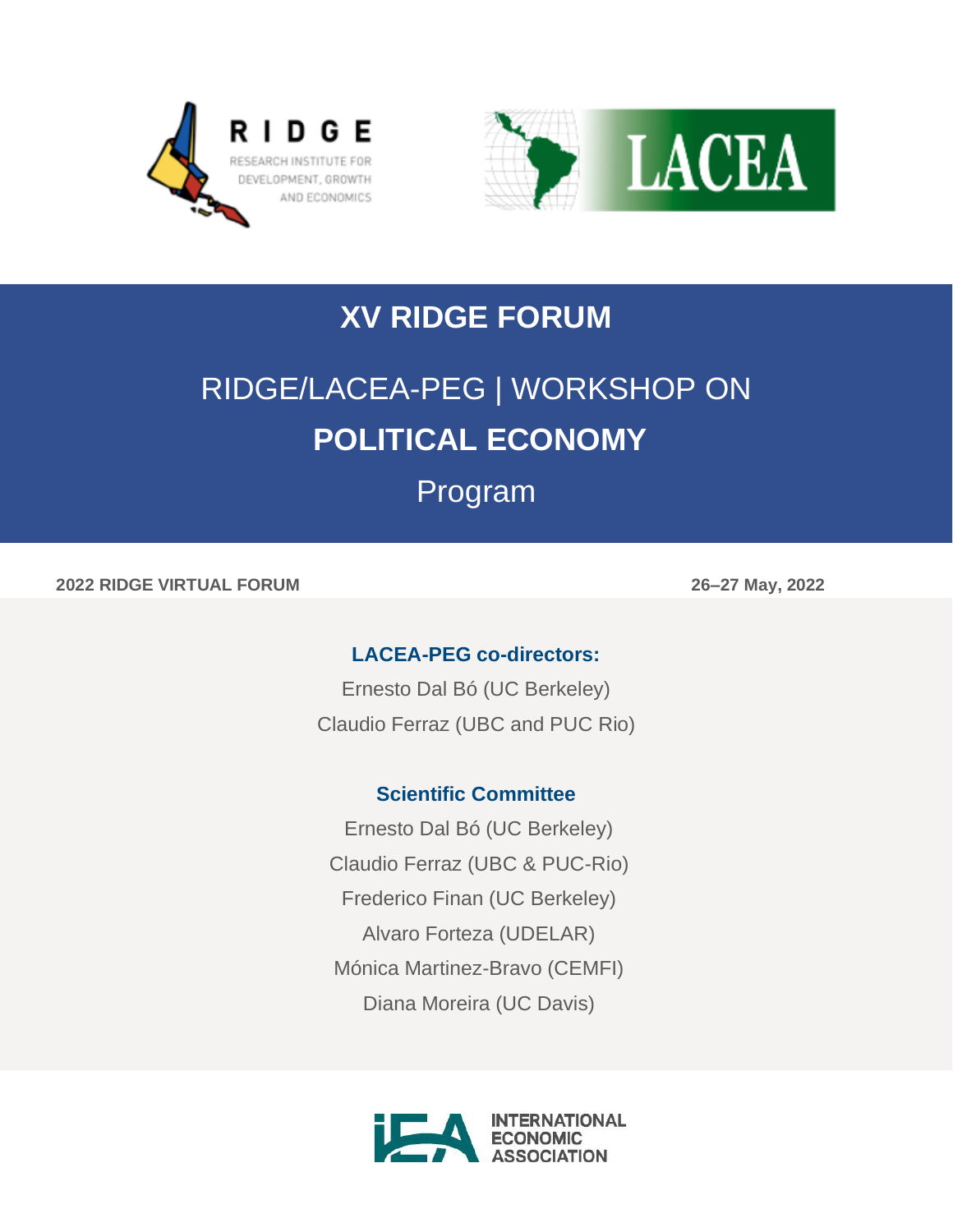



## **XV RIDGE FORUM**

# RIDGE/LACEA-PEG | WORKSHOP ON **POLITICAL ECONOMY**

### Program

**2022 RIDGE VIRTUAL FORUM 26–27 May, 2022**

#### **LACEA-PEG co-directors:**

Ernesto Dal Bó (UC Berkeley) Claudio Ferraz (UBC and PUC Rio)

#### **Scientific Committee**

Ernesto Dal Bó (UC Berkeley) Claudio Ferraz (UBC & PUC-Rio) Frederico Finan (UC Berkeley) Alvaro Forteza (UDELAR) Mónica Martinez-Bravo (CEMFI) Diana Moreira (UC Davis)

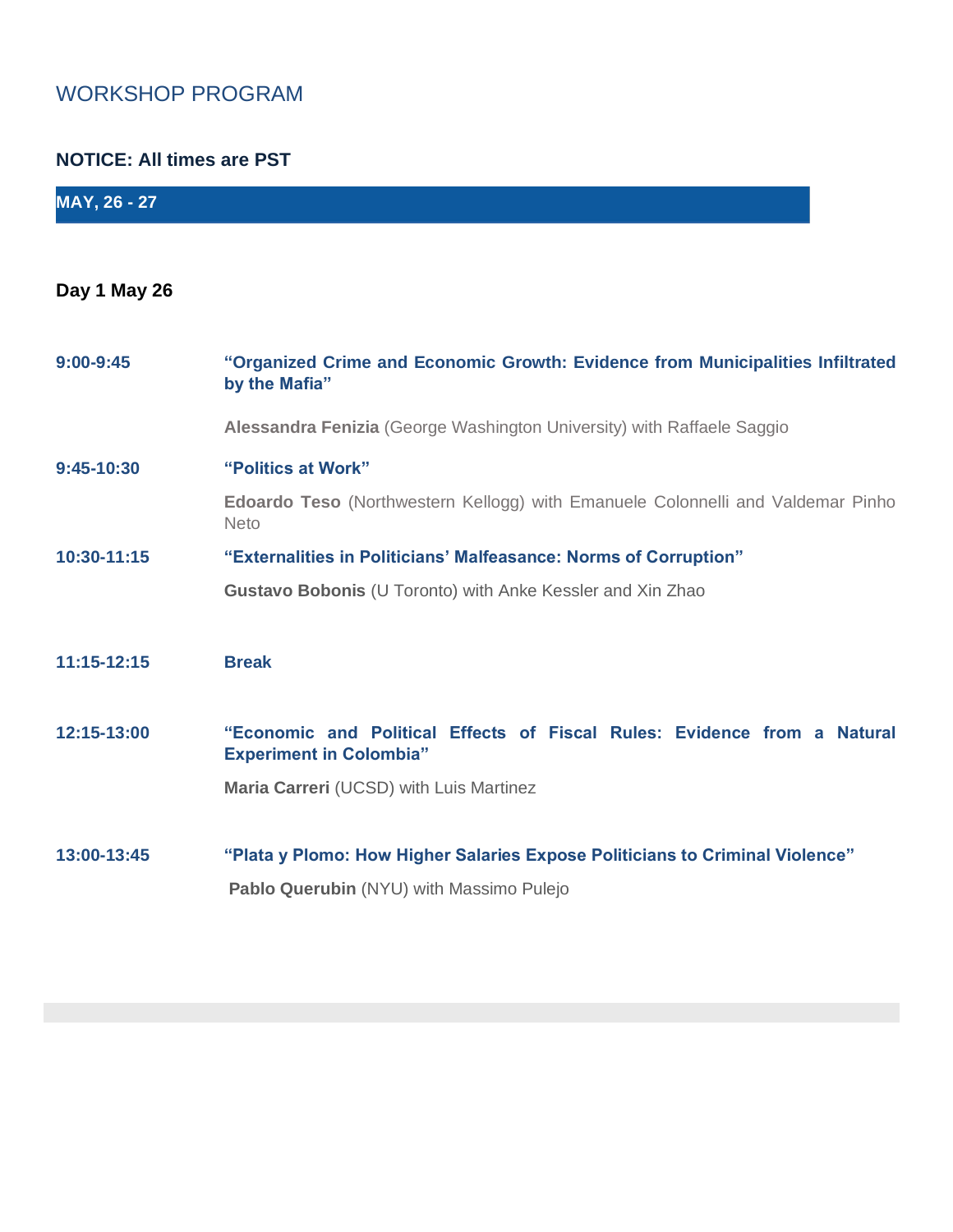#### WORKSHOP PROGRAM

#### **NOTICE: All times are PST**

| <b>MAY, 26 - 27</b> |                                                                                                            |
|---------------------|------------------------------------------------------------------------------------------------------------|
|                     |                                                                                                            |
| Day 1 May 26        |                                                                                                            |
| $9:00 - 9:45$       | "Organized Crime and Economic Growth: Evidence from Municipalities Infiltrated<br>by the Mafia"            |
|                     | Alessandra Fenizia (George Washington University) with Raffaele Saggio                                     |
| $9:45-10:30$        | "Politics at Work"                                                                                         |
|                     | <b>Edoardo Teso</b> (Northwestern Kellogg) with Emanuele Colonnelli and Valdemar Pinho<br><b>Neto</b>      |
| 10:30-11:15         | "Externalities in Politicians' Malfeasance: Norms of Corruption"                                           |
|                     | Gustavo Bobonis (U Toronto) with Anke Kessler and Xin Zhao                                                 |
|                     |                                                                                                            |
| 11:15-12:15         | <b>Break</b>                                                                                               |
|                     |                                                                                                            |
| 12:15-13:00         | "Economic and Political Effects of Fiscal Rules: Evidence from a Natural<br><b>Experiment in Colombia"</b> |
|                     | Maria Carreri (UCSD) with Luis Martinez                                                                    |
|                     |                                                                                                            |
| 13:00-13:45         | "Plata y Plomo: How Higher Salaries Expose Politicians to Criminal Violence"                               |
|                     | Pablo Querubin (NYU) with Massimo Pulejo                                                                   |